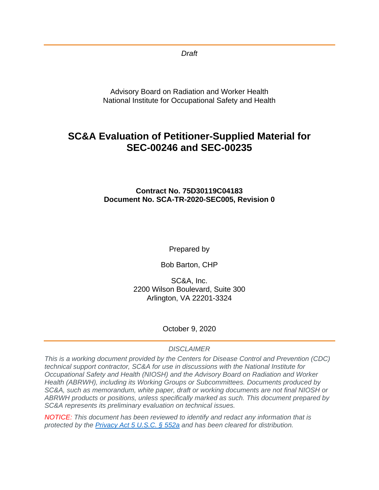*Draft* 

Advisory Board on Radiation and Worker Health National Institute for Occupational Safety and Health

# **SC&A Evaluation of Petitioner-Supplied Material for SEC-00246 and SEC-00235**

**Contract No. 75D30119C04183 Document No. SCA-TR-2020-SEC005, Revision 0**

Prepared by

Bob Barton, CHP

SC&A, Inc. 2200 Wilson Boulevard, Suite 300 Arlington, VA 22201-3324

October 9, 2020

## *DISCLAIMER*

*This is a working document provided by the Centers for Disease Control and Prevention (CDC) technical support contractor, SC&A for use in discussions with the National Institute for Occupational Safety and Health (NIOSH) and the Advisory Board on Radiation and Worker Health (ABRWH), including its Working Groups or Subcommittees. Documents produced by SC&A, such as memorandum, white paper, draft or working documents are not final NIOSH or ABRWH products or positions, unless specifically marked as such. This document prepared by SC&A represents its preliminary evaluation on technical issues.*

*NOTICE: This document has been reviewed to identify and redact any information that is protected by the [Privacy Act 5 U.S.C. § 552a](http://www.justice.gov/opcl/privacy-act-1974) and has been cleared for distribution.*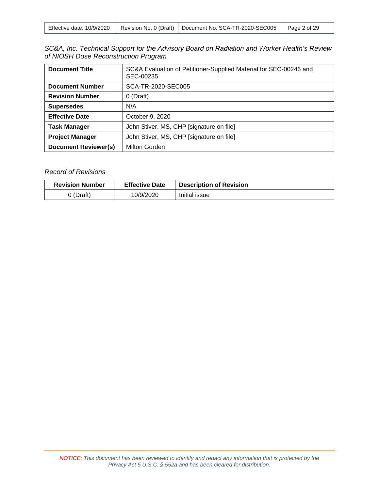|  |  | Effective date: 10/9/2020   Revision No. 0 (Draft)   Document No. SCA-TR-2020-SEC005   Page 2 of 29 |  |
|--|--|-----------------------------------------------------------------------------------------------------|--|
|--|--|-----------------------------------------------------------------------------------------------------|--|

| SC&A, Inc. Technical Support for the Advisory Board on Radiation and Worker Health's Review |  |
|---------------------------------------------------------------------------------------------|--|
| of NIOSH Dose Reconstruction Program                                                        |  |

| <b>Document Title</b>       | SC&A Evaluation of Petitioner-Supplied Material for SEC-00246 and<br>SEC-00235 |
|-----------------------------|--------------------------------------------------------------------------------|
| <b>Document Number</b>      | SCA-TR-2020-SEC005                                                             |
| <b>Revision Number</b>      | $0$ (Draft)                                                                    |
| <b>Supersedes</b>           | N/A                                                                            |
| <b>Effective Date</b>       | October 9, 2020                                                                |
| <b>Task Manager</b>         | John Stiver, MS, CHP [signature on file]                                       |
| <b>Project Manager</b>      | John Stiver, MS, CHP [signature on file]                                       |
| <b>Document Reviewer(s)</b> | Milton Gorden                                                                  |

## *Record of Revisions*

| <b>Revision Number</b> | <b>Effective Date</b> | <b>Description of Revision</b> |
|------------------------|-----------------------|--------------------------------|
| 0 (Draft)              | 10/9/2020             | Initial issue                  |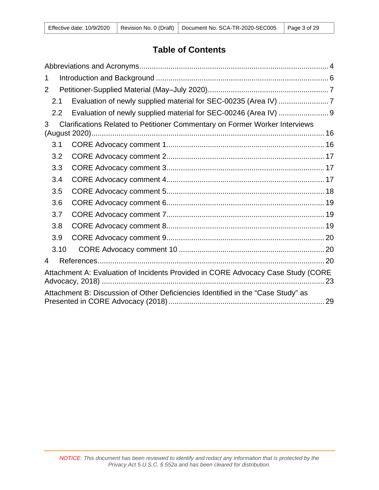# **Table of Contents**

| 1    |                                                                                  |
|------|----------------------------------------------------------------------------------|
| 2    |                                                                                  |
| 2.1  |                                                                                  |
| 2.2  | Evaluation of newly supplied material for SEC-00246 (Area IV)  9                 |
| 3    | Clarifications Related to Petitioner Commentary on Former Worker Interviews      |
| 3.1  |                                                                                  |
| 3.2  |                                                                                  |
| 3.3  |                                                                                  |
| 3.4  |                                                                                  |
| 3.5  |                                                                                  |
| 3.6  |                                                                                  |
| 3.7  |                                                                                  |
| 3.8  |                                                                                  |
| 3.9  |                                                                                  |
| 3.10 |                                                                                  |
| 4    |                                                                                  |
|      | Attachment A: Evaluation of Incidents Provided in CORE Advocacy Case Study (CORE |
|      | Attachment B: Discussion of Other Deficiencies Identified in the "Case Study" as |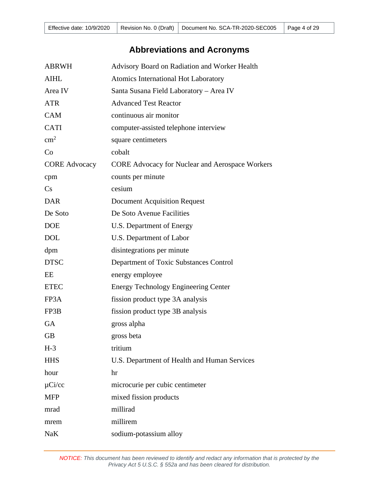# **Abbreviations and Acronyms**

<span id="page-3-0"></span>

| <b>ABRWH</b>         | Advisory Board on Radiation and Worker Health          |
|----------------------|--------------------------------------------------------|
| <b>AIHL</b>          | Atomics International Hot Laboratory                   |
| Area IV              | Santa Susana Field Laboratory - Area IV                |
| <b>ATR</b>           | <b>Advanced Test Reactor</b>                           |
| <b>CAM</b>           | continuous air monitor                                 |
| <b>CATI</b>          | computer-assisted telephone interview                  |
| $\text{cm}^2$        | square centimeters                                     |
| Co                   | cobalt                                                 |
| <b>CORE Advocacy</b> | <b>CORE Advocacy for Nuclear and Aerospace Workers</b> |
| cpm                  | counts per minute                                      |
| Cs                   | cesium                                                 |
| <b>DAR</b>           | <b>Document Acquisition Request</b>                    |
| De Soto              | De Soto Avenue Facilities                              |
| <b>DOE</b>           | U.S. Department of Energy                              |
| <b>DOL</b>           | U.S. Department of Labor                               |
| dpm                  | disintegrations per minute                             |
| <b>DTSC</b>          | Department of Toxic Substances Control                 |
| EE                   | energy employee                                        |
| <b>ETEC</b>          | <b>Energy Technology Engineering Center</b>            |
| FP3A                 | fission product type 3A analysis                       |
| FP3B                 | fission product type 3B analysis                       |
| <b>GA</b>            | gross alpha                                            |
| <b>GB</b>            | gross beta                                             |
| $H-3$                | tritium                                                |
| <b>HHS</b>           | U.S. Department of Health and Human Services           |
| hour                 | hr                                                     |
| $\mu$ Ci/cc          | microcurie per cubic centimeter                        |
| <b>MFP</b>           | mixed fission products                                 |
| mrad                 | millirad                                               |
| mrem                 | millirem                                               |
| <b>NaK</b>           | sodium-potassium alloy                                 |

*NOTICE: This document has been reviewed to identify and redact any information that is protected by the Privacy Act 5 U.S.C. § 552a and has been cleared for distribution.*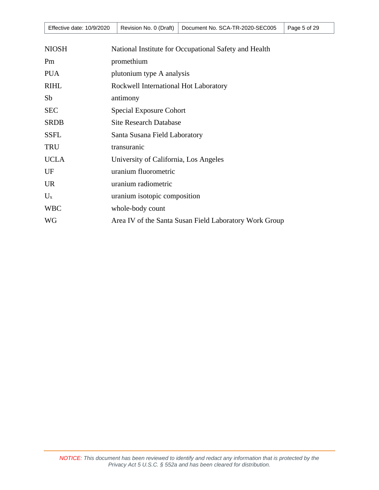|  |  | Effective date: 10/9/2020   Revision No. 0 (Draft)   Document No. SCA-TR-2020-SEC005   Page 5 of 29 |  |
|--|--|-----------------------------------------------------------------------------------------------------|--|
|--|--|-----------------------------------------------------------------------------------------------------|--|

| <b>NIOSH</b> | National Institute for Occupational Safety and Health  |
|--------------|--------------------------------------------------------|
| Pm           | promethium                                             |
| <b>PUA</b>   | plutonium type A analysis                              |
| <b>RIHL</b>  | Rockwell International Hot Laboratory                  |
| Sb           | antimony                                               |
| <b>SEC</b>   | <b>Special Exposure Cohort</b>                         |
| <b>SRDB</b>  | <b>Site Research Database</b>                          |
| <b>SSFL</b>  | Santa Susana Field Laboratory                          |
| <b>TRU</b>   | transuranic                                            |
| <b>UCLA</b>  | University of California, Los Angeles                  |
| UF           | uranium fluorometric                                   |
| <b>UR</b>    | uranium radiometric                                    |
| $U_{x}$      | uranium isotopic composition                           |
| <b>WBC</b>   | whole-body count                                       |
| <b>WG</b>    | Area IV of the Santa Susan Field Laboratory Work Group |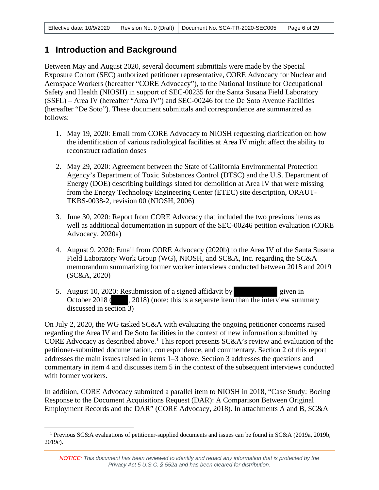## <span id="page-5-0"></span>**1 Introduction and Background**

Between May and August 2020, several document submittals were made by the Special Exposure Cohort (SEC) authorized petitioner representative, CORE Advocacy for Nuclear and Aerospace Workers (hereafter "CORE Advocacy"), to the National Institute for Occupational Safety and Health (NIOSH) in support of SEC-00235 for the Santa Susana Field Laboratory (SSFL) – Area IV (hereafter "Area IV") and SEC-00246 for the De Soto Avenue Facilities (hereafter "De Soto"). These document submittals and correspondence are summarized as follows:

- 1. May 19, 2020: Email from CORE Advocacy to NIOSH requesting clarification on how the identification of various radiological facilities at Area IV might affect the ability to reconstruct radiation doses
- 2. May 29, 2020: Agreement between the State of California Environmental Protection Agency's Department of Toxic Substances Control (DTSC) and the U.S. Department of Energy (DOE) describing buildings slated for demolition at Area IV that were missing from the Energy Technology Engineering Center (ETEC) site description, ORAUT-TKBS-0038-2, revision 00 (NIOSH, 2006)
- 3. June 30, 2020: Report from CORE Advocacy that included the two previous items as well as additional documentation in support of the SEC-00246 petition evaluation (CORE Advocacy, 2020a)
- 4. August 9, 2020: Email from CORE Advocacy (2020b) to the Area IV of the Santa Susana Field Laboratory Work Group (WG), NIOSH, and SC&A, Inc. regarding the SC&A memorandum summarizing former worker interviews conducted between 2018 and 2019 (SC&A, 2020)
- 5. August 10, 2020: Resubmission of a signed affidavit by given in October 2018 (choose 2018) (note: this is a separate item than the interview summary discussed in section 3)

On July 2, 2020, the WG tasked SC&A with evaluating the ongoing petitioner concerns raised regarding the Area IV and De Soto facilities in the context of new information submitted by CORE Advocacy as described above.<sup>[1](#page-5-1)</sup> This report presents  $SC&A$ 's review and evaluation of the petitioner-submitted documentation, correspondence, and commentary. Section 2 of this report addresses the main issues raised in items 1–3 above. Section 3 addresses the questions and commentary in item 4 and discusses item 5 in the context of the subsequent interviews conducted with former workers.

In addition, CORE Advocacy submitted a parallel item to NIOSH in 2018, "Case Study: Boeing Response to the Document Acquisitions Request (DAR): A Comparison Between Original Employment Records and the DAR" (CORE Advocacy, 2018). In attachments A and B, SC&A

<span id="page-5-1"></span><sup>1</sup> Previous SC&A evaluations of petitioner-supplied documents and issues can be found in SC&A (2019a, 2019b, 2019c).

*NOTICE: This document has been reviewed to identify and redact any information that is protected by the Privacy Act 5 U.S.C. § 552a and has been cleared for distribution.*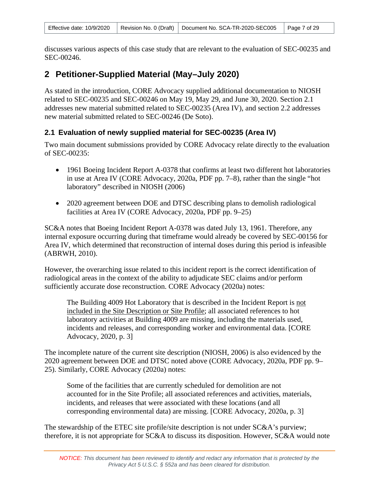discusses various aspects of this case study that are relevant to the evaluation of SEC-00235 and SEC-00246.

## <span id="page-6-0"></span>**2 Petitioner-Supplied Material (May–July 2020)**

As stated in the introduction, CORE Advocacy supplied additional documentation to NIOSH related to SEC-00235 and SEC-00246 on May 19, May 29, and June 30, 2020. Section 2.1 addresses new material submitted related to SEC-00235 (Area IV), and section 2.2 addresses new material submitted related to SEC-00246 (De Soto).

## <span id="page-6-1"></span>**2.1 Evaluation of newly supplied material for SEC-00235 (Area IV)**

Two main document submissions provided by CORE Advocacy relate directly to the evaluation of SEC-00235:

- 1961 Boeing Incident Report A-0378 that confirms at least two different hot laboratories in use at Area IV (CORE Advocacy, 2020a, PDF pp. 7–8), rather than the single "hot laboratory" described in NIOSH (2006)
- 2020 agreement between DOE and DTSC describing plans to demolish radiological facilities at Area IV (CORE Advocacy, 2020a, PDF pp. 9–25)

SC&A notes that Boeing Incident Report A-0378 was dated July 13, 1961. Therefore, any internal exposure occurring during that timeframe would already be covered by SEC-00156 for Area IV, which determined that reconstruction of internal doses during this period is infeasible (ABRWH, 2010).

However, the overarching issue related to this incident report is the correct identification of radiological areas in the context of the ability to adjudicate SEC claims and/or perform sufficiently accurate dose reconstruction. CORE Advocacy (2020a) notes:

The Building 4009 Hot Laboratory that is described in the Incident Report is not included in the Site Description or Site Profile; all associated references to hot laboratory activities at Building 4009 are missing, including the materials used, incidents and releases, and corresponding worker and environmental data. [CORE Advocacy, 2020, p. 3]

The incomplete nature of the current site description (NIOSH, 2006) is also evidenced by the 2020 agreement between DOE and DTSC noted above (CORE Advocacy, 2020a, PDF pp. 9– 25). Similarly, CORE Advocacy (2020a) notes:

Some of the facilities that are currently scheduled for demolition are not accounted for in the Site Profile; all associated references and activities, materials, incidents, and releases that were associated with these locations (and all corresponding environmental data) are missing. [CORE Advocacy, 2020a, p. 3]

The stewardship of the ETEC site profile/site description is not under SC&A's purview; therefore, it is not appropriate for SC&A to discuss its disposition. However, SC&A would note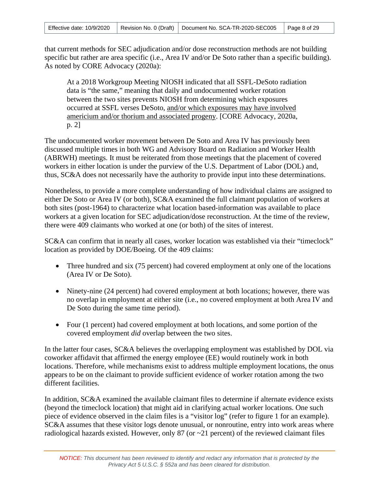that current methods for SEC adjudication and/or dose reconstruction methods are not building specific but rather are area specific (i.e., Area IV and/or De Soto rather than a specific building). As noted by CORE Advocacy (2020a):

At a 2018 Workgroup Meeting NIOSH indicated that all SSFL-DeSoto radiation data is "the same," meaning that daily and undocumented worker rotation between the two sites prevents NIOSH from determining which exposures occurred at SSFL verses DeSoto, and/or which exposures may have involved americium and/or thorium and associated progeny. [CORE Advocacy, 2020a, p. 2]

The undocumented worker movement between De Soto and Area IV has previously been discussed multiple times in both WG and Advisory Board on Radiation and Worker Health (ABRWH) meetings. It must be reiterated from those meetings that the placement of covered workers in either location is under the purview of the U.S. Department of Labor (DOL) and, thus, SC&A does not necessarily have the authority to provide input into these determinations.

Nonetheless, to provide a more complete understanding of how individual claims are assigned to either De Soto or Area IV (or both), SC&A examined the full claimant population of workers at both sites (post-1964) to characterize what location based-information was available to place workers at a given location for SEC adjudication/dose reconstruction. At the time of the review, there were 409 claimants who worked at one (or both) of the sites of interest.

SC&A can confirm that in nearly all cases, worker location was established via their "timeclock" location as provided by DOE/Boeing. Of the 409 claims:

- Three hundred and six (75 percent) had covered employment at only one of the locations (Area IV or De Soto).
- Ninety-nine (24 percent) had covered employment at both locations; however, there was no overlap in employment at either site (i.e., no covered employment at both Area IV and De Soto during the same time period).
- Four (1 percent) had covered employment at both locations, and some portion of the covered employment *did* overlap between the two sites.

In the latter four cases, SC&A believes the overlapping employment was established by DOL via coworker affidavit that affirmed the energy employee (EE) would routinely work in both locations. Therefore, while mechanisms exist to address multiple employment locations, the onus appears to be on the claimant to provide sufficient evidence of worker rotation among the two different facilities.

In addition, SC&A examined the available claimant files to determine if alternate evidence exists (beyond the timeclock location) that might aid in clarifying actual worker locations. One such piece of evidence observed in the claim files is a "visitor log" (refer to figure 1 for an example). SC&A assumes that these visitor logs denote unusual, or nonroutine, entry into work areas where radiological hazards existed. However, only 87 (or ~21 percent) of the reviewed claimant files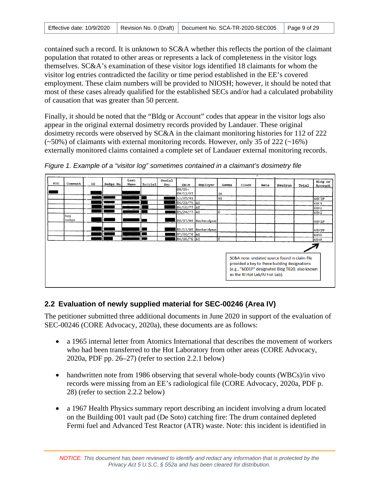contained such a record. It is unknown to SC&A whether this reflects the portion of the claimant population that rotated to other areas or represents a lack of completeness in the visitor logs themselves. SC&A's examination of these visitor logs identified 18 claimants for whom the visitor log entries contradicted the facility or time period established in the EE's covered employment. These claim numbers will be provided to NIOSH; however, it should be noted that most of these cases already qualified for the established SECs and/or had a calculated probability of causation that was greater than 50 percent.

Finally, it should be noted that the "Bldg or Account" codes that appear in the visitor logs also appear in the original external dosimetry records provided by Landauer. These original dosimetry records were observed by SC&A in the claimant monitoring histories for 112 of 222  $(\sim 50\%)$  of claimants with external monitoring records. However, only 35 of 222 ( $\sim 16\%)$ ) externally monitored claims contained a complete set of Landauer external monitoring records.



*Figure 1. Example of a "visitor log" sometimes contained in a claimant's dosimetry file* 

## <span id="page-8-0"></span>**2.2 Evaluation of newly supplied material for SEC-00246 (Area IV)**

The petitioner submitted three additional documents in June 2020 in support of the evaluation of SEC-00246 (CORE Advocacy, 2020a), these documents are as follows:

- a 1965 internal letter from Atomics International that describes the movement of workers who had been transferred to the Hot Laboratory from other areas (CORE Advocacy, 2020a, PDF pp. 26–27) (refer to section 2.2.1 below)
- handwritten note from 1986 observing that several whole-body counts (WBCs)/in vivo records were missing from an EE's radiological file (CORE Advocacy, 2020a, PDF p. 28) (refer to section 2.2.2 below)
- a 1967 Health Physics summary report describing an incident involving a drum located on the Building 001 vault pad (De Soto) catching fire: The drum contained depleted Fermi fuel and Advanced Test Reactor (ATR) waste. Note: this incident is identified in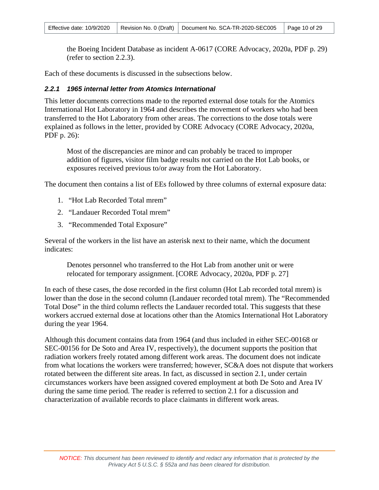the Boeing Incident Database as incident A-0617 (CORE Advocacy, 2020a, PDF p. 29) (refer to section 2.2.3).

Each of these documents is discussed in the subsections below.

#### *2.2.1 1965 internal letter from Atomics International*

This letter documents corrections made to the reported external dose totals for the Atomics International Hot Laboratory in 1964 and describes the movement of workers who had been transferred to the Hot Laboratory from other areas. The corrections to the dose totals were explained as follows in the letter, provided by CORE Advocacy (CORE Advocacy, 2020a, PDF p. 26):

Most of the discrepancies are minor and can probably be traced to improper addition of figures, visitor film badge results not carried on the Hot Lab books, or exposures received previous to/or away from the Hot Laboratory.

The document then contains a list of EEs followed by three columns of external exposure data:

- 1. "Hot Lab Recorded Total mrem"
- 2. "Landauer Recorded Total mrem"
- 3. "Recommended Total Exposure"

Several of the workers in the list have an asterisk next to their name, which the document indicates:

Denotes personnel who transferred to the Hot Lab from another unit or were relocated for temporary assignment. [CORE Advocacy, 2020a, PDF p. 27]

In each of these cases, the dose recorded in the first column (Hot Lab recorded total mrem) is lower than the dose in the second column (Landauer recorded total mrem). The "Recommended Total Dose" in the third column reflects the Landauer recorded total. This suggests that these workers accrued external dose at locations other than the Atomics International Hot Laboratory during the year 1964.

Although this document contains data from 1964 (and thus included in either SEC-00168 or SEC-00156 for De Soto and Area IV, respectively), the document supports the position that radiation workers freely rotated among different work areas. The document does not indicate from what locations the workers were transferred; however, SC&A does not dispute that workers rotated between the different site areas. In fact, as discussed in section 2.1, under certain circumstances workers have been assigned covered employment at both De Soto and Area IV during the same time period. The reader is referred to section 2.1 for a discussion and characterization of available records to place claimants in different work areas.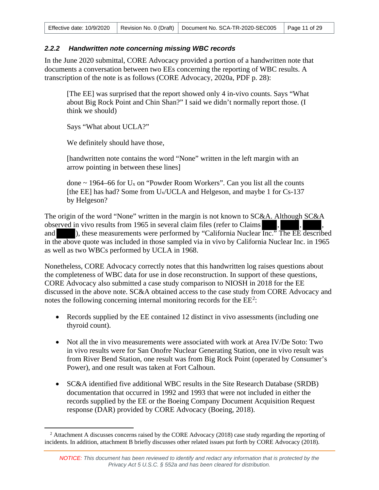### *2.2.2 Handwritten note concerning missing WBC records*

In the June 2020 submittal, CORE Advocacy provided a portion of a handwritten note that documents a conversation between two EEs concerning the reporting of WBC results. A transcription of the note is as follows (CORE Advocacy, 2020a, PDF p. 28):

[The EE] was surprised that the report showed only 4 in-vivo counts. Says "What about Big Rock Point and Chin Shan?" I said we didn't normally report those. (I think we should)

Says "What about UCLA?"

We definitely should have those,

[handwritten note contains the word "None" written in the left margin with an arrow pointing in between these lines]

done  $\sim$  1964–66 for  $U_x$  on "Powder Room Workers". Can you list all the counts [the EE] has had? Some from U<sub>x</sub>/UCLA and Helgeson, and maybe 1 for Cs-137 by Helgeson?

The origin of the word "None" written in the margin is not known to SC&A. Although SC&A observed in vivo results from 1965 in several claim files (refer to Claims) and ), these measurements were performed by "California Nuclear Inc." The EE described in the above quote was included in those sampled via in vivo by California Nuclear Inc. in 1965 as well as two WBCs performed by UCLA in 1968.

Nonetheless, CORE Advocacy correctly notes that this handwritten log raises questions about the completeness of WBC data for use in dose reconstruction. In support of these questions, CORE Advocacy also submitted a case study comparison to NIOSH in 2018 for the EE discussed in the above note. SC&A obtained access to the case study from CORE Advocacy and notes the following concerning internal monitoring records for the  $EE^2$  $EE^2$ :

- Records supplied by the EE contained 12 distinct in vivo assessments (including one thyroid count).
- Not all the in vivo measurements were associated with work at Area IV/De Soto: Two in vivo results were for San Onofre Nuclear Generating Station, one in vivo result was from River Bend Station, one result was from Big Rock Point (operated by Consumer's Power), and one result was taken at Fort Calhoun.
- SC&A identified five additional WBC results in the Site Research Database (SRDB) documentation that occurred in 1992 and 1993 that were not included in either the records supplied by the EE or the Boeing Company Document Acquisition Request response (DAR) provided by CORE Advocacy (Boeing, 2018).

<span id="page-10-0"></span><sup>&</sup>lt;sup>2</sup> Attachment A discusses concerns raised by the CORE Advocacy (2018) case study regarding the reporting of incidents. In addition, attachment B briefly discusses other related issues put forth by CORE Advocacy (2018).

*NOTICE: This document has been reviewed to identify and redact any information that is protected by the Privacy Act 5 U.S.C. § 552a and has been cleared for distribution.*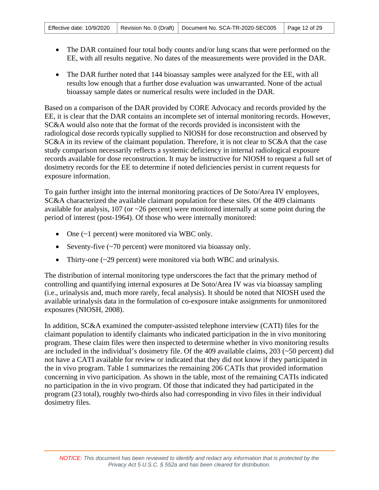- The DAR contained four total body counts and/or lung scans that were performed on the EE, with all results negative. No dates of the measurements were provided in the DAR.
- The DAR further noted that 144 bioassay samples were analyzed for the EE, with all results low enough that a further dose evaluation was unwarranted. None of the actual bioassay sample dates or numerical results were included in the DAR.

Based on a comparison of the DAR provided by CORE Advocacy and records provided by the EE, it is clear that the DAR contains an incomplete set of internal monitoring records. However, SC&A would also note that the format of the records provided is inconsistent with the radiological dose records typically supplied to NIOSH for dose reconstruction and observed by SC&A in its review of the claimant population. Therefore, it is not clear to SC&A that the case study comparison necessarily reflects a systemic deficiency in internal radiological exposure records available for dose reconstruction. It may be instructive for NIOSH to request a full set of dosimetry records for the EE to determine if noted deficiencies persist in current requests for exposure information.

To gain further insight into the internal monitoring practices of De Soto/Area IV employees, SC&A characterized the available claimant population for these sites. Of the 409 claimants available for analysis,  $107$  (or  $\sim$  26 percent) were monitored internally at some point during the period of interest (post-1964). Of those who were internally monitored:

- One (~1 percent) were monitored via WBC only.
- Seventy-five (~70 percent) were monitored via bioassay only.
- Thirty-one (~29 percent) were monitored via both WBC and urinalysis.

The distribution of internal monitoring type underscores the fact that the primary method of controlling and quantifying internal exposures at De Soto/Area IV was via bioassay sampling (i.e., urinalysis and, much more rarely, fecal analysis). It should be noted that NIOSH used the available urinalysis data in the formulation of co-exposure intake assignments for unmonitored exposures (NIOSH, 2008).

In addition, SC&A examined the computer-assisted telephone interview (CATI) files for the claimant population to identify claimants who indicated participation in the in vivo monitoring program. These claim files were then inspected to determine whether in vivo monitoring results are included in the individual's dosimetry file. Of the 409 available claims, 203 (~50 percent) did not have a CATI available for review or indicated that they did not know if they participated in the in vivo program. Table 1 summarizes the remaining 206 CATIs that provided information concerning in vivo participation. As shown in the table, most of the remaining CATIs indicated no participation in the in vivo program. Of those that indicated they had participated in the program (23 total), roughly two-thirds also had corresponding in vivo files in their individual dosimetry files.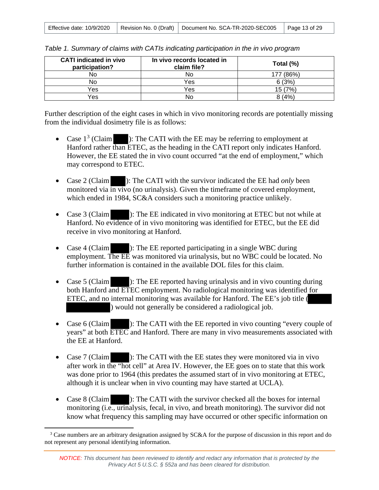| Effective date: 10/9/2020 |  | Revision No. 0 (Draft)   Document No. SCA-TR-2020-SEC005 | $\vert$ Page 13 of 29 |
|---------------------------|--|----------------------------------------------------------|-----------------------|
|---------------------------|--|----------------------------------------------------------|-----------------------|

| <b>CATI</b> indicated in vivo<br>participation? | In vivo records located in<br>claim file? | Total (%)    |
|-------------------------------------------------|-------------------------------------------|--------------|
| No                                              | No.                                       | I77 (86%)    |
| No                                              | Yes                                       | 6(3%)        |
| Yes                                             | Yes                                       | ٫7%′<br>15 ( |
| Yes                                             | N٥                                        | 8(4%         |

*Table 1. Summary of claims with CATIs indicating participation in the in vivo program* 

Further description of the eight cases in which in vivo monitoring records are potentially missing from the individual dosimetry file is as follows:

- Case  $1^3$  $1^3$  (Claim ): The CATI with the EE may be referring to employment at Hanford rather than ETEC, as the heading in the CATI report only indicates Hanford. However, the EE stated the in vivo count occurred "at the end of employment," which may correspond to ETEC.
- Case 2 (Claim ): The CATI with the survivor indicated the EE had *only* been monitored via in vivo (no urinalysis). Given the timeframe of covered employment, which ended in 1984, SC&A considers such a monitoring practice unlikely.
- Case 3 (Claim ): The EE indicated in vivo monitoring at ETEC but not while at Hanford. No evidence of in vivo monitoring was identified for ETEC, but the EE did receive in vivo monitoring at Hanford.
- Case 4 (Claim ): The EE reported participating in a single WBC during employment. The EE was monitored via urinalysis, but no WBC could be located. No further information is contained in the available DOL files for this claim.
- Case 5 (Claim ): The EE reported having urinalysis and in vivo counting during both Hanford and ETEC employment. No radiological monitoring was identified for ETEC, and no internal monitoring was available for Hanford. The EE's job title ( ) would not generally be considered a radiological job.
- Case 6 (Claim ): The CATI with the EE reported in vivo counting "every couple of years" at both ETEC and Hanford. There are many in vivo measurements associated with the EE at Hanford.
- Case 7 (Claim ): The CATI with the EE states they were monitored via in vivo after work in the "hot cell" at Area IV. However, the EE goes on to state that this work was done prior to 1964 (this predates the assumed start of in vivo monitoring at ETEC, although it is unclear when in vivo counting may have started at UCLA).
- Case 8 (Claim ): The CATI with the survivor checked all the boxes for internal monitoring (i.e., urinalysis, fecal, in vivo, and breath monitoring). The survivor did not know what frequency this sampling may have occurred or other specific information on

<span id="page-12-0"></span><sup>3</sup> Case numbers are an arbitrary designation assigned by SC&A for the purpose of discussion in this report and do not represent any personal identifying information.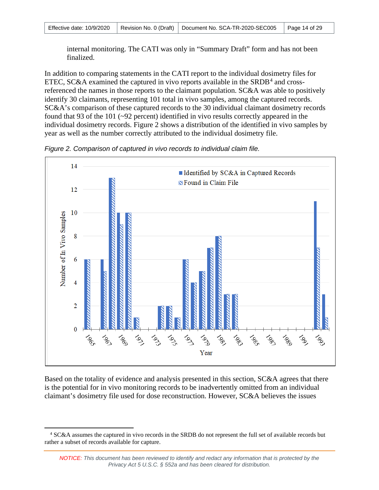internal monitoring. The CATI was only in "Summary Draft" form and has not been finalized.

In addition to comparing statements in the CATI report to the individual dosimetry files for ETEC, SC&A examined the captured in vivo reports available in the  $SRDB<sup>4</sup>$  $SRDB<sup>4</sup>$  $SRDB<sup>4</sup>$  and crossreferenced the names in those reports to the claimant population. SC&A was able to positively identify 30 claimants, representing 101 total in vivo samples, among the captured records. SC&A's comparison of these captured records to the 30 individual claimant dosimetry records found that 93 of the 101 (~92 percent) identified in vivo results correctly appeared in the individual dosimetry records. Figure 2 shows a distribution of the identified in vivo samples by year as well as the number correctly attributed to the individual dosimetry file.



*Figure 2. Comparison of captured in vivo records to individual claim file.*

Based on the totality of evidence and analysis presented in this section, SC&A agrees that there is the potential for in vivo monitoring records to be inadvertently omitted from an individual claimant's dosimetry file used for dose reconstruction. However, SC&A believes the issues

<span id="page-13-0"></span><sup>4</sup> SC&A assumes the captured in vivo records in the SRDB do not represent the full set of available records but rather a subset of records available for capture.

*NOTICE: This document has been reviewed to identify and redact any information that is protected by the Privacy Act 5 U.S.C. § 552a and has been cleared for distribution.*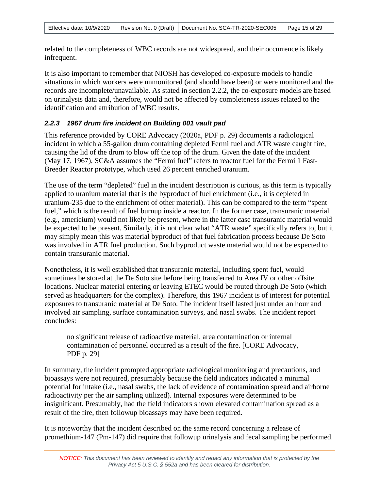related to the completeness of WBC records are not widespread, and their occurrence is likely infrequent.

It is also important to remember that NIOSH has developed co-exposure models to handle situations in which workers were unmonitored (and should have been) or were monitored and the records are incomplete/unavailable. As stated in section 2.2.2, the co-exposure models are based on urinalysis data and, therefore, would not be affected by completeness issues related to the identification and attribution of WBC results.

### *2.2.3 1967 drum fire incident on Building 001 vault pad*

This reference provided by CORE Advocacy (2020a, PDF p. 29) documents a radiological incident in which a 55-gallon drum containing depleted Fermi fuel and ATR waste caught fire, causing the lid of the drum to blow off the top of the drum. Given the date of the incident (May 17, 1967), SC&A assumes the "Fermi fuel" refers to reactor fuel for the Fermi 1 Fast-Breeder Reactor prototype, which used 26 percent enriched uranium.

The use of the term "depleted" fuel in the incident description is curious, as this term is typically applied to uranium material that is the byproduct of fuel enrichment (i.e., it is depleted in uranium-235 due to the enrichment of other material). This can be compared to the term "spent fuel," which is the result of fuel burnup inside a reactor. In the former case, transuranic material (e.g., americium) would not likely be present, where in the latter case transuranic material would be expected to be present. Similarly, it is not clear what "ATR waste" specifically refers to, but it may simply mean this was material byproduct of that fuel fabrication process because De Soto was involved in ATR fuel production. Such byproduct waste material would not be expected to contain transuranic material.

Nonetheless, it is well established that transuranic material, including spent fuel, would sometimes be stored at the De Soto site before being transferred to Area IV or other offsite locations. Nuclear material entering or leaving ETEC would be routed through De Soto (which served as headquarters for the complex). Therefore, this 1967 incident is of interest for potential exposures to transuranic material at De Soto. The incident itself lasted just under an hour and involved air sampling, surface contamination surveys, and nasal swabs. The incident report concludes:

no significant release of radioactive material, area contamination or internal contamination of personnel occurred as a result of the fire. [CORE Advocacy, PDF p. 29]

In summary, the incident prompted appropriate radiological monitoring and precautions, and bioassays were not required, presumably because the field indicators indicated a minimal potential for intake (i.e., nasal swabs, the lack of evidence of contamination spread and airborne radioactivity per the air sampling utilized). Internal exposures were determined to be insignificant. Presumably, had the field indicators shown elevated contamination spread as a result of the fire, then followup bioassays may have been required.

It is noteworthy that the incident described on the same record concerning a release of promethium-147 (Pm-147) did require that followup urinalysis and fecal sampling be performed.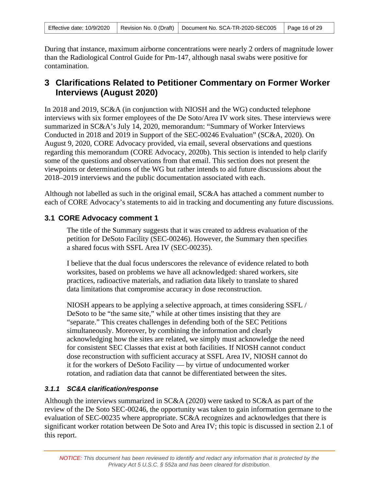During that instance, maximum airborne concentrations were nearly 2 orders of magnitude lower than the Radiological Control Guide for Pm-147, although nasal swabs were positive for contamination.

## <span id="page-15-0"></span>**3 Clarifications Related to Petitioner Commentary on Former Worker Interviews (August 2020)**

In 2018 and 2019, SC&A (in conjunction with NIOSH and the WG) conducted telephone interviews with six former employees of the De Soto/Area IV work sites. These interviews were summarized in SC&A's July 14, 2020, memorandum: "Summary of Worker Interviews Conducted in 2018 and 2019 in Support of the SEC-00246 Evaluation" (SC&A, 2020). On August 9, 2020, CORE Advocacy provided, via email, several observations and questions regarding this memorandum (CORE Advocacy, 2020b). This section is intended to help clarify some of the questions and observations from that email. This section does not present the viewpoints or determinations of the WG but rather intends to aid future discussions about the 2018–2019 interviews and the public documentation associated with each.

Although not labelled as such in the original email, SC&A has attached a comment number to each of CORE Advocacy's statements to aid in tracking and documenting any future discussions.

## <span id="page-15-1"></span>**3.1 CORE Advocacy comment 1**

The title of the Summary suggests that it was created to address evaluation of the petition for DeSoto Facility (SEC-00246). However, the Summary then specifies a shared focus with SSFL Area IV (SEC-00235).

I believe that the dual focus underscores the relevance of evidence related to both worksites, based on problems we have all acknowledged: shared workers, site practices, radioactive materials, and radiation data likely to translate to shared data limitations that compromise accuracy in dose reconstruction.

NIOSH appears to be applying a selective approach, at times considering SSFL / DeSoto to be "the same site," while at other times insisting that they are "separate." This creates challenges in defending both of the SEC Petitions simultaneously. Moreover, by combining the information and clearly acknowledging how the sites are related, we simply must acknowledge the need for consistent SEC Classes that exist at both facilities. If NIOSH cannot conduct dose reconstruction with sufficient accuracy at SSFL Area IV, NIOSH cannot do it for the workers of DeSoto Facility — by virtue of undocumented worker rotation, and radiation data that cannot be differentiated between the sites.

## *3.1.1 SC&A clarification/response*

Although the interviews summarized in SC&A (2020) were tasked to SC&A as part of the review of the De Soto SEC-00246, the opportunity was taken to gain information germane to the evaluation of SEC-00235 where appropriate. SC&A recognizes and acknowledges that there is significant worker rotation between De Soto and Area IV; this topic is discussed in section 2.1 of this report.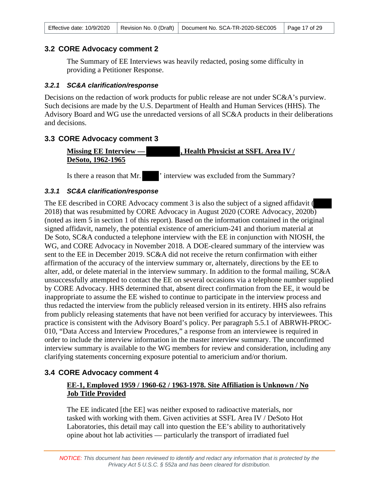#### <span id="page-16-0"></span>**3.2 CORE Advocacy comment 2**

The Summary of EE Interviews was heavily redacted, posing some difficulty in providing a Petitioner Response.

#### *3.2.1 SC&A clarification/response*

Decisions on the redaction of work products for public release are not under SC&A's purview. Such decisions are made by the U.S. Department of Health and Human Services (HHS). The Advisory Board and WG use the unredacted versions of all SC&A products in their deliberations and decisions.

#### <span id="page-16-1"></span>**3.3 CORE Advocacy comment 3**

**Missing EE Interview — , Health Physicist at SSFL Area IV / DeSoto, 1962-1965** 

Is there a reason that Mr.  $\cdot$  interview was excluded from the Summary?

#### *3.3.1 SC&A clarification/response*

The EE described in CORE Advocacy comment 3 is also the subject of a signed affidavit ( 2018) that was resubmitted by CORE Advocacy in August 2020 (CORE Advocacy, 2020b) (noted as item 5 in section 1 of this report). Based on the information contained in the original signed affidavit, namely, the potential existence of americium-241 and thorium material at De Soto, SC&A conducted a telephone interview with the EE in conjunction with NIOSH, the WG, and CORE Advocacy in November 2018. A DOE-cleared summary of the interview was sent to the EE in December 2019. SC&A did not receive the return confirmation with either affirmation of the accuracy of the interview summary or, alternately, directions by the EE to alter, add, or delete material in the interview summary. In addition to the formal mailing, SC&A unsuccessfully attempted to contact the EE on several occasions via a telephone number supplied by CORE Advocacy. HHS determined that, absent direct confirmation from the EE, it would be inappropriate to assume the EE wished to continue to participate in the interview process and thus redacted the interview from the publicly released version in its entirety. HHS also refrains from publicly releasing statements that have not been verified for accuracy by interviewees. This practice is consistent with the Advisory Board's policy. Per paragraph 5.5.1 of ABRWH-PROC-010, "Data Access and Interview Procedures," a response from an interviewee is required in order to include the interview information in the master interview summary. The unconfirmed interview summary is available to the WG members for review and consideration, including any clarifying statements concerning exposure potential to americium and/or thorium.

## <span id="page-16-2"></span>**3.4 CORE Advocacy comment 4**

## **EE-1, Employed 1959 / 1960-62 / 1963-1978. Site Affiliation is Unknown / No Job Title Provided**

The EE indicated [the EE] was neither exposed to radioactive materials, nor tasked with working with them. Given activities at SSFL Area IV / DeSoto Hot Laboratories, this detail may call into question the EE's ability to authoritatively opine about hot lab activities — particularly the transport of irradiated fuel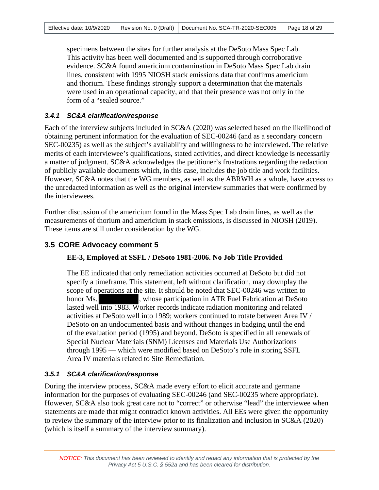specimens between the sites for further analysis at the DeSoto Mass Spec Lab. This activity has been well documented and is supported through corroborative evidence. SC&A found americium contamination in DeSoto Mass Spec Lab drain lines, consistent with 1995 NIOSH stack emissions data that confirms americium and thorium. These findings strongly support a determination that the materials were used in an operational capacity, and that their presence was not only in the form of a "sealed source."

#### *3.4.1 SC&A clarification/response*

Each of the interview subjects included in SC&A (2020) was selected based on the likelihood of obtaining pertinent information for the evaluation of SEC-00246 (and as a secondary concern SEC-00235) as well as the subject's availability and willingness to be interviewed. The relative merits of each interviewee's qualifications, stated activities, and direct knowledge is necessarily a matter of judgment. SC&A acknowledges the petitioner's frustrations regarding the redaction of publicly available documents which, in this case, includes the job title and work facilities. However, SC&A notes that the WG members, as well as the ABRWH as a whole, have access to the unredacted information as well as the original interview summaries that were confirmed by the interviewees.

Further discussion of the americium found in the Mass Spec Lab drain lines, as well as the measurements of thorium and americium in stack emissions, is discussed in NIOSH (2019). These items are still under consideration by the WG.

## <span id="page-17-0"></span>**3.5 CORE Advocacy comment 5**

## **EE-3, Employed at SSFL / DeSoto 1981-2006. No Job Title Provided**

The EE indicated that only remediation activities occurred at DeSoto but did not specify a timeframe. This statement, left without clarification, may downplay the scope of operations at the site. It should be noted that SEC-00246 was written to honor Ms.  $\blacksquare$ , whose participation in ATR Fuel Fabrication at DeSoto lasted well into 1983. Worker records indicate radiation monitoring and related activities at DeSoto well into 1989; workers continued to rotate between Area IV / DeSoto on an undocumented basis and without changes in badging until the end of the evaluation period (1995) and beyond. DeSoto is specified in all renewals of Special Nuclear Materials (SNM) Licenses and Materials Use Authorizations through 1995 — which were modified based on DeSoto's role in storing SSFL Area IV materials related to Site Remediation.

## *3.5.1 SC&A clarification/response*

During the interview process, SC&A made every effort to elicit accurate and germane information for the purposes of evaluating SEC-00246 (and SEC-00235 where appropriate). However, SC&A also took great care not to "correct" or otherwise "lead" the interviewee when statements are made that might contradict known activities. All EEs were given the opportunity to review the summary of the interview prior to its finalization and inclusion in SC&A (2020) (which is itself a summary of the interview summary).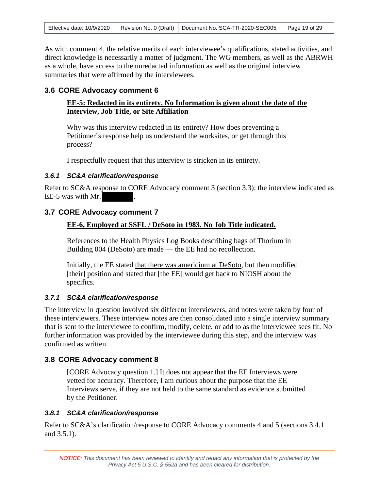As with comment 4, the relative merits of each interviewee's qualifications, stated activities, and direct knowledge is necessarily a matter of judgment. The WG members, as well as the ABRWH as a whole, have access to the unredacted information as well as the original interview summaries that were affirmed by the interviewees.

### <span id="page-18-0"></span>**3.6 CORE Advocacy comment 6**

### **EE-5: Redacted in its entirety. No Information is given about the date of the Interview, Job Title, or Site Affiliation**

Why was this interview redacted in its entirety? How does preventing a Petitioner's response help us understand the worksites, or get through this process?

I respectfully request that this interview is stricken in its entirety.

### *3.6.1 SC&A clarification/response*

Refer to SC&A response to CORE Advocacy comment 3 (section 3.3); the interview indicated as EE-5 was with Mr.

## <span id="page-18-1"></span>**3.7 CORE Advocacy comment 7**

### **EE-6, Employed at SSFL / DeSoto in 1983. No Job Title indicated.**

References to the Health Physics Log Books describing bags of Thorium in Building 004 (DeSoto) are made — the EE had no recollection.

Initially, the EE stated that there was americium at DeSoto, but then modified [their] position and stated that [the EE] would get back to NIOSH about the specifics.

## *3.7.1 SC&A clarification/response*

The interview in question involved six different interviewers, and notes were taken by four of these interviewers. These interview notes are then consolidated into a single interview summary that is sent to the interviewee to confirm, modify, delete, or add to as the interviewee sees fit. No further information was provided by the interviewee during this step, and the interview was confirmed as written.

## <span id="page-18-2"></span>**3.8 CORE Advocacy comment 8**

[CORE Advocacy question 1.] It does not appear that the EE Interviews were vetted for accuracy. Therefore, I am curious about the purpose that the EE Interviews serve, if they are not held to the same standard as evidence submitted by the Petitioner.

#### *3.8.1 SC&A clarification/response*

Refer to SC&A's clarification/response to CORE Advocacy comments 4 and 5 (sections 3.4.1 and 3.5.1).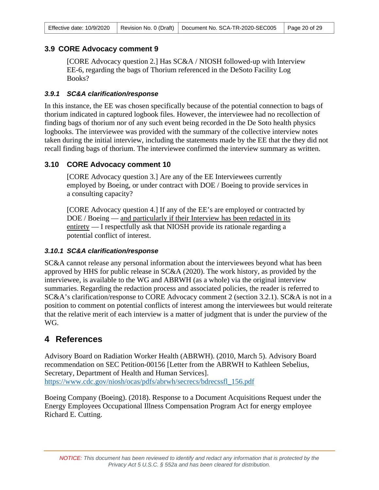## <span id="page-19-0"></span>**3.9 CORE Advocacy comment 9**

[CORE Advocacy question 2.] Has SC&A / NIOSH followed-up with Interview EE-6, regarding the bags of Thorium referenced in the DeSoto Facility Log Books?

#### *3.9.1 SC&A clarification/response*

In this instance, the EE was chosen specifically because of the potential connection to bags of thorium indicated in captured logbook files. However, the interviewee had no recollection of finding bags of thorium nor of any such event being recorded in the De Soto health physics logbooks. The interviewee was provided with the summary of the collective interview notes taken during the initial interview, including the statements made by the EE that the they did not recall finding bags of thorium. The interviewee confirmed the interview summary as written.

### <span id="page-19-1"></span>**3.10 CORE Advocacy comment 10**

[CORE Advocacy question 3.] Are any of the EE Interviewees currently employed by Boeing, or under contract with DOE / Boeing to provide services in a consulting capacity?

[CORE Advocacy question 4.] If any of the EE's are employed or contracted by DOE / Boeing — and particularly if their Interview has been redacted in its entirety — I respectfully ask that NIOSH provide its rationale regarding a potential conflict of interest.

#### *3.10.1 SC&A clarification/response*

SC&A cannot release any personal information about the interviewees beyond what has been approved by HHS for public release in SC&A (2020). The work history, as provided by the interviewee, is available to the WG and ABRWH (as a whole) via the original interview summaries. Regarding the redaction process and associated policies, the reader is referred to SC&A's clarification/response to CORE Advocacy comment 2 (section 3.2.1). SC&A is not in a position to comment on potential conflicts of interest among the interviewees but would reiterate that the relative merit of each interview is a matter of judgment that is under the purview of the WG.

## <span id="page-19-2"></span>**4 References**

Advisory Board on Radiation Worker Health (ABRWH). (2010, March 5). Advisory Board recommendation on SEC Petition-00156 [Letter from the ABRWH to Kathleen Sebelius, Secretary, Department of Health and Human Services]. [https://www.cdc.gov/niosh/ocas/pdfs/abrwh/secrecs/bdrecssfl\\_156.pdf](https://www.cdc.gov/niosh/ocas/pdfs/abrwh/secrecs/bdrecssfl_156.pdf) 

Boeing Company (Boeing). (2018). Response to a Document Acquisitions Request under the Energy Employees Occupational Illness Compensation Program Act for energy employee Richard E. Cutting.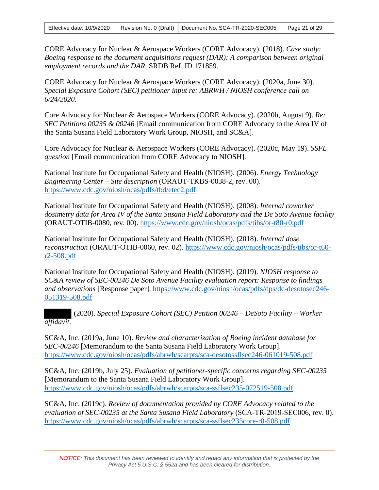CORE Advocacy for Nuclear & Aerospace Workers (CORE Advocacy). (2018). *Case study: Boeing response to the document acquisitions request (DAR): A comparison between original employment records and the DAR*. SRDB Ref. ID 171859.

CORE Advocacy for Nuclear & Aerospace Workers (CORE Advocacy). (2020a, June 30). *Special Exposure Cohort (SEC) petitioner input re: ABRWH / NIOSH conference call on 6/24/2020*.

Core Advocacy for Nuclear & Aerospace Workers (CORE Advocacy). (2020b, August 9). *Re: SEC Petitions 00235 & 00246* [Email communication from CORE Advocacy to the Area IV of the Santa Susana Field Laboratory Work Group, NIOSH, and SC&A].

Core Advocacy for Nuclear & Aerospace Workers (CORE Advocacy). (2020c, May 19). *SSFL question* [Email communication from CORE Advocacy to NIOSH].

National Institute for Occupational Safety and Health (NIOSH). (2006). *Energy Technology Engineering Center – Site description* (ORAUT-TKBS-0038-2, rev. 00). <https://www.cdc.gov/niosh/ocas/pdfs/tbd/etec2.pdf>

National Institute for Occupational Safety and Health (NIOSH). (2008). *Internal coworker dosimetry data for Area IV of the Santa Susana Field Laboratory and the De Soto Avenue facility* (ORAUT-OTIB-0080, rev. 00).<https://www.cdc.gov/niosh/ocas/pdfs/tibs/or-t80-r0.pdf>

National Institute for Occupational Safety and Health (NIOSH). (2018). *Internal dose reconstruction* (ORAUT-OTIB-0060, rev. 02). [https://www.cdc.gov/niosh/ocas/pdfs/tibs/or-t60](https://www.cdc.gov/niosh/ocas/pdfs/tibs/or-t60-r2-508.pdf) [r2-508.pdf](https://www.cdc.gov/niosh/ocas/pdfs/tibs/or-t60-r2-508.pdf) 

National Institute for Occupational Safety and Health (NIOSH). (2019). *NIOSH response to SC&A review of SEC-00246 De Soto Avenue Facility evaluation report: Response to findings and observations* [Response paper]. [https://www.cdc.gov/niosh/ocas/pdfs/dps/dc-desotosec246-](https://www.cdc.gov/niosh/ocas/pdfs/dps/dc-desotosec246-051319-508.pdf) 051319-508.pdf

 (2020). *Special Exposure Cohort (SEC) Petition 00246 – DeSoto Facility – Worker affidavit.* 

SC&A, Inc. (2019a, June 10). *Review and characterization of Boeing incident database for SEC-00246* [Memorandum to the Santa Susana Field Laboratory Work Group]. <https://www.cdc.gov/niosh/ocas/pdfs/abrwh/scarpts/sca-desotossflsec246-061019-508.pdf>

SC&A, Inc. (2019b, July 25). *Evaluation of petitioner-specific concerns regarding SEC-00235* [Memorandum to the Santa Susana Field Laboratory Work Group]. <https://www.cdc.gov/niosh/ocas/pdfs/abrwh/scarpts/sca-ssflsec235-072519-508.pdf>

SC&A, Inc. (2019c). *Review of documentation provided by CORE Advocacy related to the evaluation of SEC-00235 at the Santa Susana Field Laboratory* (SCA-TR-2019-SEC006, rev. 0). <https://www.cdc.gov/niosh/ocas/pdfs/abrwh/scarpts/sca-ssflsec235core-r0-508.pdf>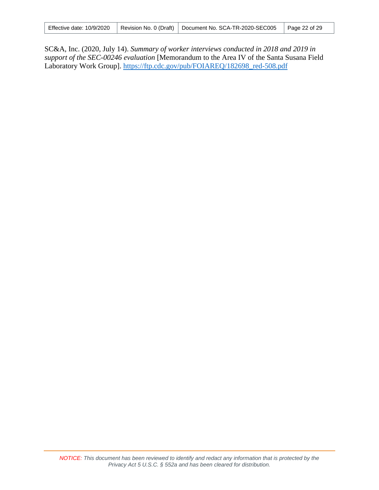|  |  | Effective date: 10/9/2020   Revision No. 0 (Draft)   Document No. SCA-TR-2020-SEC005   Page 22 of 29 |  |
|--|--|------------------------------------------------------------------------------------------------------|--|
|--|--|------------------------------------------------------------------------------------------------------|--|

SC&A, Inc. (2020, July 14). *Summary of worker interviews conducted in 2018 and 2019 in support of the SEC-00246 evaluation* [Memorandum to the Area IV of the Santa Susana Field Laboratory Work Group]. [https://ftp.cdc.gov/pub/FOIAREQ/182698\\_red-508.pdf](https://ftp.cdc.gov/pub/FOIAREQ/182698_red-508.pdf)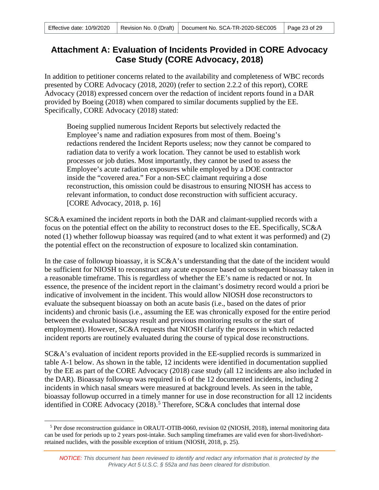## <span id="page-22-0"></span>**Attachment A: Evaluation of Incidents Provided in CORE Advocacy Case Study (CORE Advocacy, 2018)**

In addition to petitioner concerns related to the availability and completeness of WBC records presented by CORE Advocacy (2018, 2020) (refer to section 2.2.2 of this report), CORE Advocacy (2018) expressed concern over the redaction of incident reports found in a DAR provided by Boeing (2018) when compared to similar documents supplied by the EE. Specifically, CORE Advocacy (2018) stated:

Boeing supplied numerous Incident Reports but selectively redacted the Employee's name and radiation exposures from most of them. Boeing's redactions rendered the Incident Reports useless; now they cannot be compared to radiation data to verify a work location. They cannot be used to establish work processes or job duties. Most importantly, they cannot be used to assess the Employee's acute radiation exposures while employed by a DOE contractor inside the "covered area." For a non-SEC claimant requiring a dose reconstruction, this omission could be disastrous to ensuring NIOSH has access to relevant information, to conduct dose reconstruction with sufficient accuracy. [CORE Advocacy, 2018, p. 16]

SC&A examined the incident reports in both the DAR and claimant-supplied records with a focus on the potential effect on the ability to reconstruct doses to the EE. Specifically, SC&A noted (1) whether followup bioassay was required (and to what extent it was performed) and (2) the potential effect on the reconstruction of exposure to localized skin contamination.

In the case of followup bioassay, it is SC&A's understanding that the date of the incident would be sufficient for NIOSH to reconstruct any acute exposure based on subsequent bioassay taken in a reasonable timeframe. This is regardless of whether the EE's name is redacted or not. In essence, the presence of the incident report in the claimant's dosimetry record would a priori be indicative of involvement in the incident. This would allow NIOSH dose reconstructors to evaluate the subsequent bioassay on both an acute basis (i.e., based on the dates of prior incidents) and chronic basis (i.e., assuming the EE was chronically exposed for the entire period between the evaluated bioassay result and previous monitoring results or the start of employment). However, SC&A requests that NIOSH clarify the process in which redacted incident reports are routinely evaluated during the course of typical dose reconstructions.

SC&A's evaluation of incident reports provided in the EE-supplied records is summarized in table A-1 below. As shown in the table, 12 incidents were identified in documentation supplied by the EE as part of the CORE Advocacy (2018) case study (all 12 incidents are also included in the DAR). Bioassay followup was required in 6 of the 12 documented incidents, including 2 incidents in which nasal smears were measured at background levels. As seen in the table, bioassay followup occurred in a timely manner for use in dose reconstruction for all 12 incidents identified in CORE Advocacy (2018).<sup>[5](#page-22-1)</sup> Therefore, SC&A concludes that internal dose

<span id="page-22-1"></span><sup>5</sup> Per dose reconstruction guidance in ORAUT-OTIB-0060, revision 02 (NIOSH, 2018), internal monitoring data can be used for periods up to 2 years post-intake. Such sampling timeframes are valid even for short-lived/shortretained nuclides, with the possible exception of tritium (NIOSH, 2018, p. 25).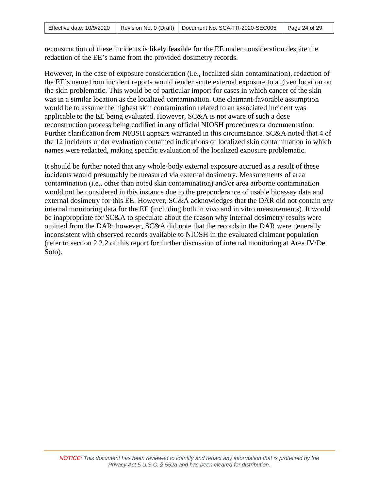reconstruction of these incidents is likely feasible for the EE under consideration despite the redaction of the EE's name from the provided dosimetry records.

However, in the case of exposure consideration (i.e., localized skin contamination), redaction of the EE's name from incident reports would render acute external exposure to a given location on the skin problematic. This would be of particular import for cases in which cancer of the skin was in a similar location as the localized contamination. One claimant-favorable assumption would be to assume the highest skin contamination related to an associated incident was applicable to the EE being evaluated. However, SC&A is not aware of such a dose reconstruction process being codified in any official NIOSH procedures or documentation. Further clarification from NIOSH appears warranted in this circumstance. SC&A noted that 4 of the 12 incidents under evaluation contained indications of localized skin contamination in which names were redacted, making specific evaluation of the localized exposure problematic.

It should be further noted that any whole-body external exposure accrued as a result of these incidents would presumably be measured via external dosimetry. Measurements of area contamination (i.e., other than noted skin contamination) and/or area airborne contamination would not be considered in this instance due to the preponderance of usable bioassay data and external dosimetry for this EE. However, SC&A acknowledges that the DAR did not contain *any* internal monitoring data for the EE (including both in vivo and in vitro measurements). It would be inappropriate for SC&A to speculate about the reason why internal dosimetry results were omitted from the DAR; however, SC&A did note that the records in the DAR were generally inconsistent with observed records available to NIOSH in the evaluated claimant population (refer to section 2.2.2 of this report for further discussion of internal monitoring at Area IV/De Soto).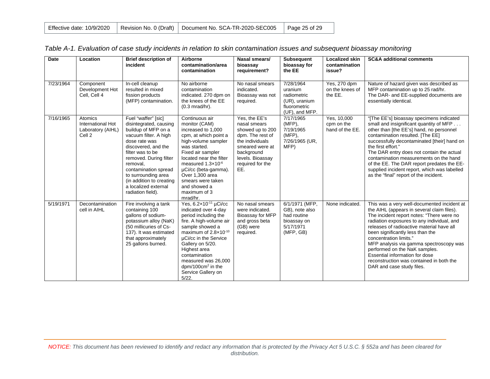|  |  | Effective date: 10/9/2020   Revision No. 0 (Draft)   Document No. SCA-TR-2020-SEC005   Page 25 of 29 |  |
|--|--|------------------------------------------------------------------------------------------------------|--|
|--|--|------------------------------------------------------------------------------------------------------|--|

| <b>Date</b> | Location                                                               | <b>Brief description of</b><br>incident                                                                                                                                                                                                                                                                                 | Airborne<br>contamination/area<br>contamination                                                                                                                                                                                                                                                                        | Nasal smears/<br>bioassay<br>requirement?                                                                                                                                | <b>Subsequent</b><br>bioassay for<br>the EE                                              | <b>Localized skin</b><br>contamination<br>issue? | <b>SC&amp;A additional comments</b>                                                                                                                                                                                                                                                                                                                                                                                                                                                    |
|-------------|------------------------------------------------------------------------|-------------------------------------------------------------------------------------------------------------------------------------------------------------------------------------------------------------------------------------------------------------------------------------------------------------------------|------------------------------------------------------------------------------------------------------------------------------------------------------------------------------------------------------------------------------------------------------------------------------------------------------------------------|--------------------------------------------------------------------------------------------------------------------------------------------------------------------------|------------------------------------------------------------------------------------------|--------------------------------------------------|----------------------------------------------------------------------------------------------------------------------------------------------------------------------------------------------------------------------------------------------------------------------------------------------------------------------------------------------------------------------------------------------------------------------------------------------------------------------------------------|
| 7/23/1964   | Component<br>Development Hot<br>Cell, Cell 4                           | In-cell cleanup<br>resulted in mixed<br>fission products<br>(MFP) contamination.                                                                                                                                                                                                                                        | No airborne<br>contamination<br>indicated. 270 dpm on<br>the knees of the EE<br>$(0.3$ mrad/hr).                                                                                                                                                                                                                       | No nasal smears<br>indicated.<br>Bioassay was not<br>required.                                                                                                           | 7/28/1964<br>uranium<br>radiometric<br>(UR), uranium<br>fluorometric<br>(UF), and MFP.   | Yes, 270 dpm<br>on the knees of<br>the EE.       | Nature of hazard given was described as<br>MFP contamination up to 25 rad/hr.<br>The DAR- and EE-supplied documents are<br>essentially identical.                                                                                                                                                                                                                                                                                                                                      |
| 7/16/1965   | Atomics<br>International Hot<br>Laboratory (AIHL)<br>Cell <sub>2</sub> | Fuel "waffer" [sic]<br>disintegrated, causing<br>buildup of MFP on a<br>vacuum filter. A high<br>dose rate was<br>discovered, and the<br>filter was to be<br>removed. During filter<br>removal,<br>contamination spread<br>to surrounding area<br>(in addition to creating<br>a localized external<br>radiation field). | Continuous air<br>monitor (CAM)<br>increased to 1,000<br>cpm, at which point a<br>high-volume sampler<br>was started.<br>Fixed air sampler<br>located near the filter<br>measured $1.3 \times 10^{-6}$<br>µCi/cc (beta-gamma).<br>Over 1.300 area<br>smears were taken<br>and showed a<br>maximum of 3<br>mrad/hr.     | Yes, the EE's<br>nasal smears<br>showed up to 200<br>dpm. The rest of<br>the individuals<br>smeared were at<br>background<br>levels. Bioassay<br>required for the<br>EE. | 7/17/1965<br>$(MFP)$ ,<br>7/19/1965<br>$(MFP)$ ,<br>7/26/1965 (UR,<br>MFP)               | Yes, 10,000<br>cpm on the<br>hand of the EE.     | "[The EE's] bioassay specimens indicated<br>small and insignificant quantity of MFP<br>other than [the EE's] hand, no personnel<br>contamination resulted. [The EE]<br>successfully decontaminated [their] hand on<br>the first effort."<br>The DAR entry does not contain the actual<br>contamination measurements on the hand<br>of the EE. The DAR report predates the EE-<br>supplied incident report, which was labelled<br>as the "final" report of the incident.                |
| 5/19/1971   | Decontamination<br>cell in AIHL                                        | Fire involving a tank<br>containing 100<br>gallons of sodium-<br>potassium alloy (NaK)<br>(50 millicuries of Cs-<br>137). It was estimated<br>that approximately<br>25 gallons burned.                                                                                                                                  | Yes, 6.2×10-11 µCi/cc<br>indicated over 4-day<br>period including the<br>fire. A high-volume air<br>sample showed a<br>maximum of $2.8 \times 10^{-10}$<br>µCi/cc in the Service<br>Gallery on 5/20.<br>Highest area<br>contamination<br>measured was 26,000<br>dpm/100 $cm2$ in the<br>Service Gallery on<br>$5/22$ . | No nasal smears<br>were indicated.<br>Bioassay for MFP<br>and gross beta<br>(GB) were<br>required.                                                                       | 6/1/1971 (MFP,<br>GB), note also<br>had routine<br>bioassay on<br>5/17/1971<br>(MFP, GB) | None indicated.                                  | This was a very well-documented incident at<br>the AIHL (appears in several claim files).<br>The incident report notes: "There were no<br>radiation exposures to any individual, and<br>releases of radioactive material have all<br>been significantly less than the<br>concentration limits."<br>MFP analysis via gamma spectroscopy was<br>performed on the NaK samples.<br>Essential information for dose<br>reconstruction was contained in both the<br>DAR and case study files. |

|  | Table A-1. Evaluation of case study incidents in relation to skin contamination issues and subsequent bioassay monitoring |  |  |
|--|---------------------------------------------------------------------------------------------------------------------------|--|--|
|--|---------------------------------------------------------------------------------------------------------------------------|--|--|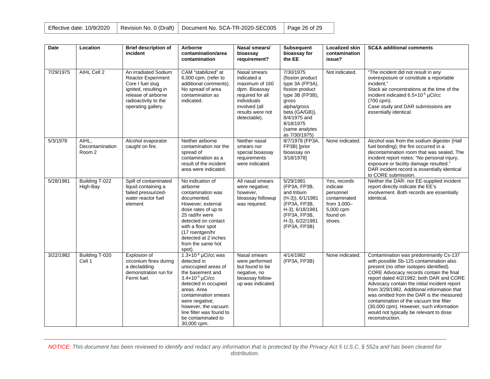|  | Effective date: 10/9/2020   Revision No. 0 (Draft)   Document No. SCA-TR-2020-SEC005 | Page 26 of 29 |
|--|--------------------------------------------------------------------------------------|---------------|
|  |                                                                                      |               |

| Date      | Location                           | <b>Brief description of</b><br>incident                                                                                                                             | Airborne<br>contamination/area<br>contamination                                                                                                                                                                                                                                                   | Nasal smears/<br>bioassay<br>requirement?                                                                                                              | <b>Subsequent</b><br>bioassay for<br>the EE                                                                                                                                                       | Localized skin<br>contamination<br>issue?                                                               | <b>SC&amp;A additional comments</b>                                                                                                                                                                                                                                                                                                                                                                                                                                                                                |
|-----------|------------------------------------|---------------------------------------------------------------------------------------------------------------------------------------------------------------------|---------------------------------------------------------------------------------------------------------------------------------------------------------------------------------------------------------------------------------------------------------------------------------------------------|--------------------------------------------------------------------------------------------------------------------------------------------------------|---------------------------------------------------------------------------------------------------------------------------------------------------------------------------------------------------|---------------------------------------------------------------------------------------------------------|--------------------------------------------------------------------------------------------------------------------------------------------------------------------------------------------------------------------------------------------------------------------------------------------------------------------------------------------------------------------------------------------------------------------------------------------------------------------------------------------------------------------|
| 7/29/1975 | AIHL Cell 2                        | An irradiated Sodium<br><b>Reactor Experiment</b><br>Core I fuel slug<br>ignited, resulting in<br>release of airborne<br>radioactivity to the<br>operating gallery. | CAM "stabilized" at<br>6,000 cpm. (refer to<br>additional comments).<br>No spread of area<br>contamination as<br>indicated.                                                                                                                                                                       | Nasal smears<br>indicated a<br>maximum of 160<br>dpm. Bioassay<br>required for all<br>individuals<br>involved (all<br>results were not<br>detectable). | 7/30/1975<br>(fission product)<br>type 3A (FP3A),<br>fission product<br>type 3B (FP3B),<br>gross<br>alpha/gross<br>beta (GA/GB)),<br>8/4/1975 and<br>8/18/1975<br>(same analytes<br>as 7/30/1975) | Not indicated.                                                                                          | "The incident did not result in any<br>overexposure or constitute a reportable<br>incident."<br>Stack air concentrations at the time of the<br>incident indicated 6.5x10 <sup>-6</sup> µCi/cc<br>(700 cpm).<br>Case study and DAR submissions are<br>essentially identical.                                                                                                                                                                                                                                        |
| 5/3/1978  | AIHL.<br>Decontamination<br>Room 2 | Alcohol evaporator<br>caught on fire.                                                                                                                               | Neither airborne<br>contamination nor the<br>spread of<br>contamination as a<br>result of the incident<br>area were indicated.                                                                                                                                                                    | Neither nasal<br>smears nor<br>special bioassay<br>requirements<br>were indicated.                                                                     | 8/7/1978 (FP3A,<br>FP3B) [prior<br>bioassay on<br>3/18/1978]                                                                                                                                      | None indicated.                                                                                         | Alcohol was from the sodium digester (Hall<br>fuel bonding); the fire occurred in a<br>decontamination room that was sealed. The<br>incident report notes: "No personal injury,<br>exposure or facility damage resulted."<br>DAR incident record is essentially identical<br>to CORE submission.                                                                                                                                                                                                                   |
| 5/28/1981 | Building T-022<br>High-Bay         | Spill of contaminated<br>liquid containing a<br>failed pressurized-<br>water reactor fuel<br>element                                                                | No indication of<br>airborne<br>contamination was<br>documented.<br>However, external<br>dose rates of up to<br>25 rad/hr were<br>detected on contact<br>with a floor spot<br>(17 roentgen/hr<br>detected at 2 inches<br>from the same hot<br>spot).                                              | All nasal smears<br>were negative;<br>however.<br>bioassay followup<br>was required.                                                                   | 5/29/1981<br>(FP3A, FP3B,<br>and tritium<br>$(H-3)$ , 6/1/1981<br>(FP3A, FP3B,<br>H-3), 6/18/1981<br>(FP3A, FP3B,<br>H-3), 6/22/1981<br>(FP3A, FP3B)                                              | Yes, records<br>indicate<br>personnel<br>contaminated<br>from 3,000-<br>5,000 cpm<br>found on<br>shoes. | Neither the DAR- nor EE-supplied incident<br>report directly indicate the EE's<br>involvement. Both records are essentially<br>identical.                                                                                                                                                                                                                                                                                                                                                                          |
| 3/22/1982 | Building T-020<br>Cell 1           | Explosion of<br>zirconium fines during<br>a decladding<br>demonstration run for<br>Fermi fuel.                                                                      | $1.3 \times 10^{-8}$ µCi/cc was<br>detected in<br>unoccupied areas of<br>the basement and<br>$3.4 \times 10^{-9}$ µCi/cc<br>detected in occupied<br>areas. Area<br>contamination smears<br>were negative;<br>however, the vacuum<br>line filter was found to<br>be contaminated to<br>30,000 cpm. | Nasal smears<br>were performed<br>but found to be<br>negative, no<br>bioassay follow-<br>up was indicated.                                             | 4/14/1982<br>(FP3A, FP3B)                                                                                                                                                                         | None indicated.                                                                                         | Contamination was predominantly Cs-137<br>with possible Sb-125 contamination also<br>present (no other isotopes identified).<br>CORE Advocacy records contain the final<br>report dated 4/2/1982; both DAR and CORE<br>Advocacy contain the initial incident report<br>from 3/29/1982. Additional information that<br>was omitted from the DAR is the measured<br>contamination of the vacuum line filter<br>(30,000 cpm). However, such information<br>would not typically be relevant to dose<br>reconstruction. |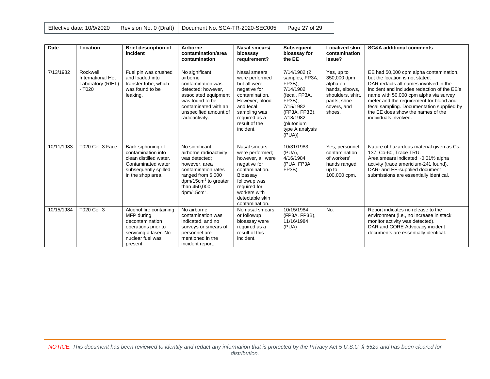|  | Effective date: 10/9/2020   Revision No. 0 (Draft)   Document No. SCA-TR-2020-SEC005   Page 27 of 29 |  |
|--|------------------------------------------------------------------------------------------------------|--|
|  |                                                                                                      |  |

| <b>Date</b> | Location                                                      | <b>Brief description of</b><br>incident                                                                                                  | Airborne<br>contamination/area<br>contamination                                                                                                                                     | Nasal smears/<br>bioassay<br>requirement?                                                                                                                                               | <b>Subsequent</b><br>bioassay for<br>the EE                                                                                                                            | <b>Localized skin</b><br>contamination<br>issue?                                                                     | <b>SC&amp;A additional comments</b>                                                                                                                                                                                                                                                                                                                              |
|-------------|---------------------------------------------------------------|------------------------------------------------------------------------------------------------------------------------------------------|-------------------------------------------------------------------------------------------------------------------------------------------------------------------------------------|-----------------------------------------------------------------------------------------------------------------------------------------------------------------------------------------|------------------------------------------------------------------------------------------------------------------------------------------------------------------------|----------------------------------------------------------------------------------------------------------------------|------------------------------------------------------------------------------------------------------------------------------------------------------------------------------------------------------------------------------------------------------------------------------------------------------------------------------------------------------------------|
| 7/13/1982   | Rockwell<br>International Hot<br>Laboratory (RIHL)<br>$-7020$ | Fuel pin was crushed<br>and loaded into<br>transfer tube, which<br>was found to be<br>leaking.                                           | No significant<br>airborne<br>contamination was<br>detected; however,<br>associated equipment<br>was found to be<br>contaminated with an<br>unspecified amount of<br>radioactivity. | Nasal smears<br>were performed<br>but all were<br>negative for<br>contamination.<br>However, blood<br>and fecal<br>sampling was<br>required as a<br>result of the<br>incident.          | 7/14/1982 (2<br>samples, FP3A,<br>FP3B),<br>7/14/1982<br>(fecal, FP3A,<br>FP3B),<br>7/15/1982<br>(FP3A, FP3B),<br>7/18/1982<br>(plutonium<br>type A analysis<br>(PUA)) | Yes, up to<br>350,000 dpm<br>alpha on<br>hands, elbows,<br>shoulders, shirt,<br>pants, shoe<br>covers, and<br>shoes. | EE had 50,000 cpm alpha contamination,<br>but the location is not stated.<br>DAR redacts all names involved in the<br>incident and includes redaction of the EE's<br>name with 50,000 cpm alpha via survey<br>meter and the requirement for blood and<br>fecal sampling. Documentation supplied by<br>the EE does show the names of the<br>individuals involved. |
| 10/11/1983  | T020 Cell 3 Face                                              | Back siphoning of<br>contamination into<br>clean distilled water.<br>Contaminated water<br>subsequently spilled<br>in the shop area.     | No significant<br>airborne radioactivity<br>was detected:<br>however, area<br>contamination rates<br>ranged from 6,000<br>$dpm/15cm2$ to greater<br>than 450,000<br>$dpm/15cm2$ .   | Nasal smears<br>were performed:<br>however, all were<br>negative for<br>contamination.<br>Bioassay<br>followup was<br>required for<br>workers with<br>detectable skin<br>contamination. | 10/31/1983<br>(PUA),<br>4/16/1984<br>(PUA, FP3A,<br>FP3B)                                                                                                              | Yes, personnel<br>contamination<br>of workers'<br>hands ranged<br>up to<br>100,000 cpm.                              | Nature of hazardous material given as Cs-<br>137, Co-60, Trace TRU.<br>Area smears indicated ~0.01% alpha<br>activity (trace americium-241 found).<br>DAR- and EE-supplied document<br>submissions are essentially identical.                                                                                                                                    |
| 10/15/1984  | <b>T020 Cell 3</b>                                            | Alcohol fire containing<br>MFP during<br>decontamination<br>operations prior to<br>servicing a laser. No<br>nuclear fuel was<br>present. | No airborne<br>contamination was<br>indicated, and no<br>surveys or smears of<br>personnel are<br>mentioned in the<br>incident report.                                              | No nasal smears<br>or followup<br>bioassay were<br>required as a<br>result of this<br>incident.                                                                                         | 10/15/1984<br>(FP3A, FP3B),<br>11/16/1984<br>(PUA)                                                                                                                     | No.                                                                                                                  | Report indicates no release to the<br>environment (i.e., no increase in stack<br>monitor activity was detected).<br>DAR and CORE Advocacy incident<br>documents are essentially identical.                                                                                                                                                                       |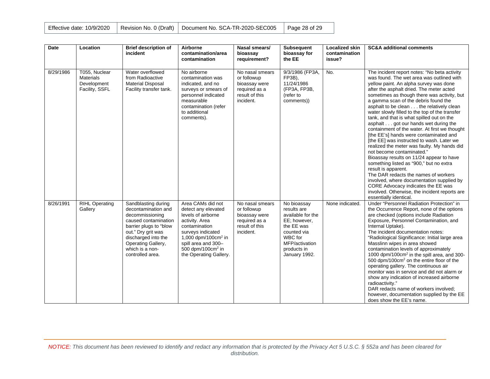| Effective date: 10/9/2020 |  | Revision No. 0 (Draft)   Document No. SCA-TR-2020-SEC005   Page 28 of 29 |  |
|---------------------------|--|--------------------------------------------------------------------------|--|
|---------------------------|--|--------------------------------------------------------------------------|--|

| <b>Date</b> | Location                                                           | <b>Brief description of</b><br>incident                                                                                                                                                                                   | Airborne<br>contamination/area<br>contamination                                                                                                                                                                                    | Nasal smears/<br>bioassay<br>requirement?                                                       | <b>Subsequent</b><br>bioassay for<br>the EE                                                                                                               | <b>Localized skin</b><br>contamination<br>issue? | <b>SC&amp;A additional comments</b>                                                                                                                                                                                                                                                                                                                                                                                                                                                                                                                                                                                                                                                                                                                                                                                                                                                                                                                                                               |
|-------------|--------------------------------------------------------------------|---------------------------------------------------------------------------------------------------------------------------------------------------------------------------------------------------------------------------|------------------------------------------------------------------------------------------------------------------------------------------------------------------------------------------------------------------------------------|-------------------------------------------------------------------------------------------------|-----------------------------------------------------------------------------------------------------------------------------------------------------------|--------------------------------------------------|---------------------------------------------------------------------------------------------------------------------------------------------------------------------------------------------------------------------------------------------------------------------------------------------------------------------------------------------------------------------------------------------------------------------------------------------------------------------------------------------------------------------------------------------------------------------------------------------------------------------------------------------------------------------------------------------------------------------------------------------------------------------------------------------------------------------------------------------------------------------------------------------------------------------------------------------------------------------------------------------------|
| 8/29/1986   | T055, Nuclear<br><b>Materials</b><br>Development<br>Facility, SSFL | Water overflowed<br>from Radioactive<br><b>Material Disposal</b><br>Facility transfer tank.                                                                                                                               | No airborne<br>contamination was<br>indicated, and no<br>surveys or smears of<br>personnel indicated<br>measurable<br>contamination (refer<br>to additional<br>comments).                                                          | No nasal smears<br>or followup<br>bioassay were<br>required as a<br>result of this<br>incident. | 9/3/1986 (FP3A,<br>FP3B),<br>11/24/1986<br>(FP3A, FP3B,<br>(refer to<br>comments))                                                                        | No.                                              | The incident report notes: "No beta activity<br>was found. The wet area was outlined with<br>yellow paint. An alpha survey was done<br>after the asphalt dried. The meter acted<br>sometimes as though there was activity, but<br>a gamma scan of the debris found the<br>asphalt to be clean the relatively clean<br>water slowly filled to the top of the transfer<br>tank, and that is what spilled out on the<br>asphalt got our hands wet during the<br>containment of the water. At first we thought<br>[the EE's] hands were contaminated and<br>[the EE] was instructed to wash. Later we<br>realized the meter was faulty. My hands did<br>not become contaminated.'<br>Bioassay results on 11/24 appear to have<br>something listed as "900," but no extra<br>result is apparent.<br>The DAR redacts the names of workers<br>involved, where documentation supplied by<br>CORE Advocacy indicates the EE was<br>involved. Otherwise, the incident reports are<br>essentially identical. |
| 8/26/1991   | <b>RIHL Operating</b><br>Gallery                                   | Sandblasting during<br>decontamination and<br>decommissioning<br>caused contamination<br>barrier plugs to "blow<br>out." Dry grit was<br>discharged into the<br>Operating Gallery,<br>which is a non-<br>controlled area. | Area CAMs did not<br>detect any elevated<br>levels of airborne<br>activity. Area<br>contamination<br>surveys indicated<br>1,000 dpm/100cm <sup>2</sup> in<br>spill area and 300-<br>500 dpm/100 $cm2$ in<br>the Operating Gallery. | No nasal smears<br>or followup<br>bioassay were<br>required as a<br>result of this<br>incident. | No bioassay<br>results are<br>available for the<br>EE; however,<br>the EE was<br>counted via<br>WBC for<br>MFP/activation<br>products in<br>January 1992. | None indicated.                                  | Under "Personnel Radiation Protection" in<br>the Occurrence Report, none of the options<br>are checked (options include Radiation<br>Exposure, Personnel Contamination, and<br>Internal Uptake).<br>The incident documentation notes:<br>"Radiological Significance: Initial large area<br>Masslinn wipes in area showed<br>contamination levels of approximately<br>1000 dpm/100 $cm2$ in the spill area, and 300-<br>500 dpm/100cm <sup>2</sup> on the entire floor of the<br>operating gallery. The continuous air<br>monitor was in service and did not alarm or<br>show any indication of increased airborne<br>radioactivity."<br>DAR redacts name of workers involved;<br>however, documentation supplied by the EE<br>does show the EE's name.                                                                                                                                                                                                                                            |